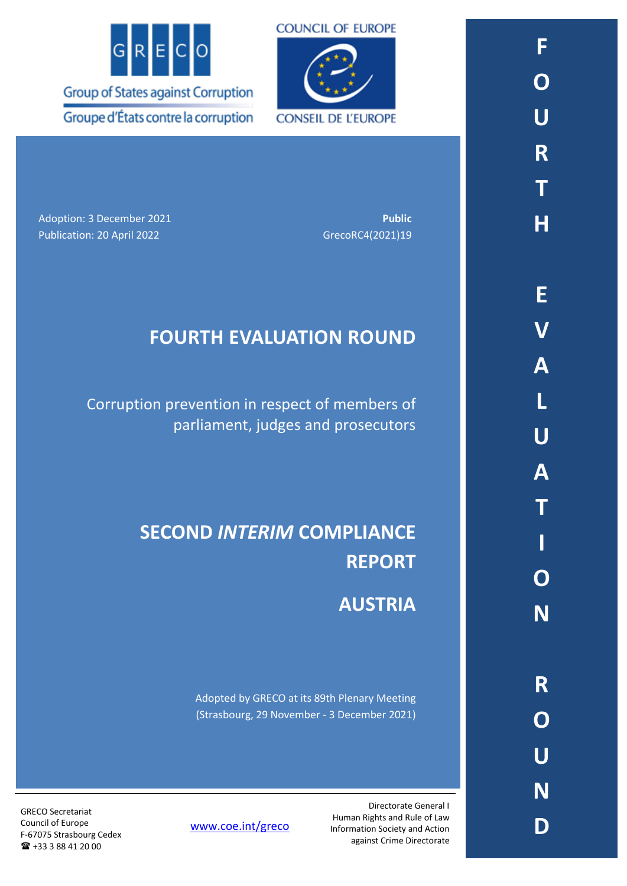



**CONSEIL DE L'EUROPE** 

Adoption: 3 December 2021 **Public** Publication: 20 April 2022 GrecoRC4(2021)19

## **FOURTH EVALUATION ROUND**

Corruption prevention in respect of members of parliament, judges and prosecutors

# **SECOND** *INTERIM* **COMPLIANCE REPORT**

# **AUSTRIA**

Adopted by GRECO at its 89th Plenary Meeting (Strasbourg, 29 November - 3 December 2021)

> Directorate General I Human Rights and Rule of Law Information Society and Action against Crime Directorate

[www.coe.int/greco](http://www.coe.int/greco)

GRECO Secretariat Council of Europe F-67075 Strasbourg Cedex +33 3 88 41 20 00

**F**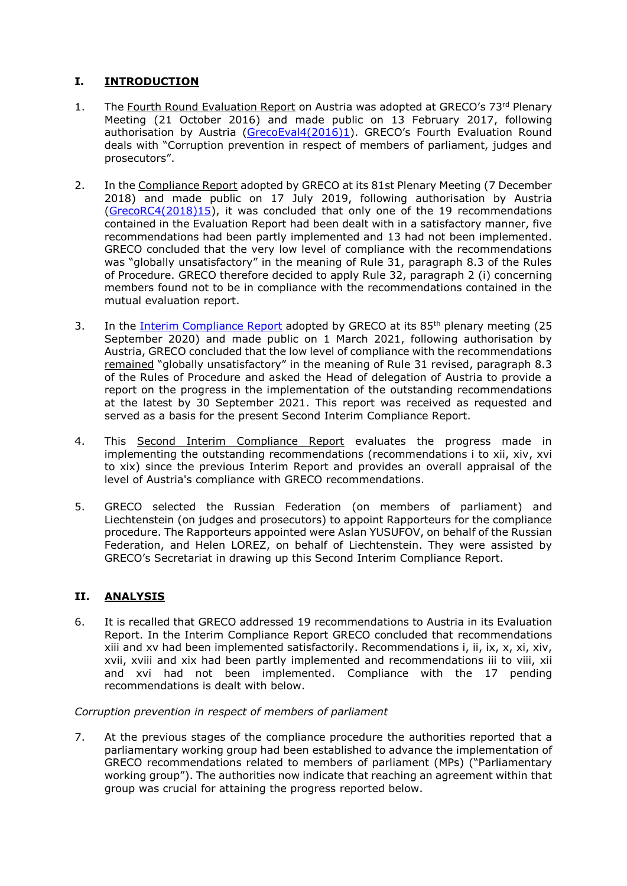## **I. INTRODUCTION**

- 1. The Fourth Round Evaluation Report on Austria was adopted at GRECO's 73rd Plenary Meeting (21 October 2016) and made public on 13 February 2017, following authorisation by Austria [\(GrecoEval4\(2016\)1](https://rm.coe.int/CoERMPublicCommonSearchServices/DisplayDCTMContent?documentId=09000016806f2b42)). GRECO's Fourth Evaluation Round deals with "Corruption prevention in respect of members of parliament, judges and prosecutors".
- 2. In the Compliance Report adopted by GRECO at its 81st Plenary Meeting (7 December 2018) and made public on 17 July 2019, following authorisation by Austria [\(GrecoRC4\(2018\)15\)](https://rm.coe.int/fourth-evaluation-round-corruption-prevention-in-respect-of-members-of/1680966744), it was concluded that only one of the 19 recommendations contained in the Evaluation Report had been dealt with in a satisfactory manner, five recommendations had been partly implemented and 13 had not been implemented. GRECO concluded that the very low level of compliance with the recommendations was "globally unsatisfactory" in the meaning of Rule 31, paragraph 8.3 of the Rules of Procedure. GRECO therefore decided to apply Rule 32, paragraph 2 (i) concerning members found not to be in compliance with the recommendations contained in the mutual evaluation report.
- 3. In the [Interim Compliance Report](https://rm.coe.int/fourth-evaluation-round-corruption-prevention-in-respect-of-members-of/1680a1963f) adopted by GRECO at its 85<sup>th</sup> plenary meeting (25 September 2020) and made public on 1 March 2021, following authorisation by Austria, GRECO concluded that the low level of compliance with the recommendations remained "globally unsatisfactory" in the meaning of Rule 31 revised, paragraph 8.3 of the Rules of Procedure and asked the Head of delegation of Austria to provide a report on the progress in the implementation of the outstanding recommendations at the latest by 30 September 2021. This report was received as requested and served as a basis for the present Second Interim Compliance Report.
- 4. This Second Interim Compliance Report evaluates the progress made in implementing the outstanding recommendations (recommendations i to xii, xiv, xvi to xix) since the previous Interim Report and provides an overall appraisal of the level of Austria's compliance with GRECO recommendations.
- 5. GRECO selected the Russian Federation (on members of parliament) and Liechtenstein (on judges and prosecutors) to appoint Rapporteurs for the compliance procedure. The Rapporteurs appointed were Aslan YUSUFOV, on behalf of the Russian Federation, and Helen LOREZ, on behalf of Liechtenstein. They were assisted by GRECO's Secretariat in drawing up this Second Interim Compliance Report.

### **II. ANALYSIS**

6. It is recalled that GRECO addressed 19 recommendations to Austria in its Evaluation Report. In the Interim Compliance Report GRECO concluded that recommendations xiii and xv had been implemented satisfactorily. Recommendations i, ii, ix, x, xi, xiv, xvii, xviii and xix had been partly implemented and recommendations iii to viii, xii and xvi had not been implemented. Compliance with the 17 pending recommendations is dealt with below.

#### *Corruption prevention in respect of members of parliament*

7. At the previous stages of the compliance procedure the authorities reported that a parliamentary working group had been established to advance the implementation of GRECO recommendations related to members of parliament (MPs) ("Parliamentary working group"). The authorities now indicate that reaching an agreement within that group was crucial for attaining the progress reported below.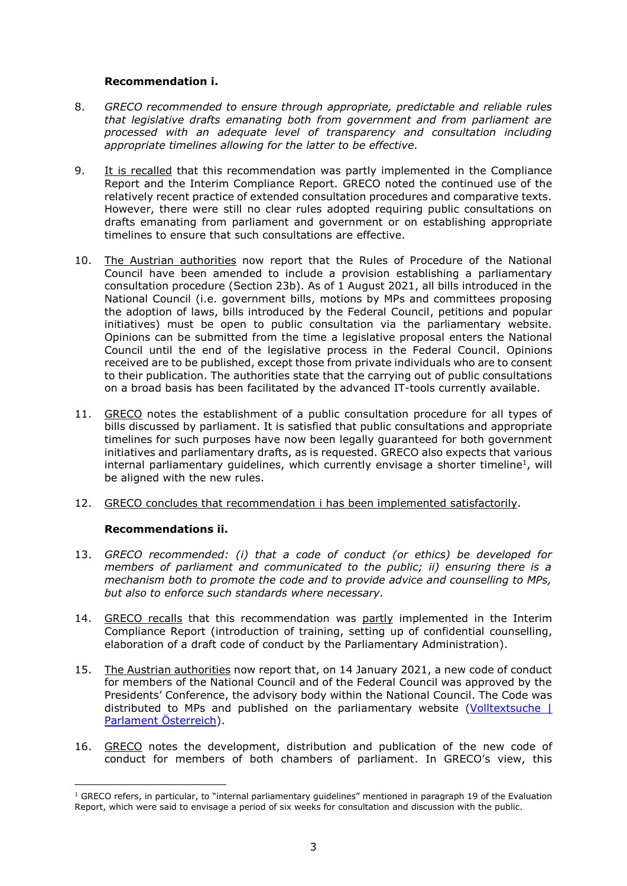#### **Recommendation i.**

- 8. *GRECO recommended to ensure through appropriate, predictable and reliable rules that legislative drafts emanating both from government and from parliament are processed with an adequate level of transparency and consultation including appropriate timelines allowing for the latter to be effective.*
- 9. It is recalled that this recommendation was partly implemented in the Compliance Report and the Interim Compliance Report. GRECO noted the continued use of the relatively recent practice of extended consultation procedures and comparative texts. However, there were still no clear rules adopted requiring public consultations on drafts emanating from parliament and government or on establishing appropriate timelines to ensure that such consultations are effective.
- 10. The Austrian authorities now report that the Rules of Procedure of the National Council have been amended to include a provision establishing a parliamentary consultation procedure (Section 23b). As of 1 August 2021, all bills introduced in the National Council (i.e. government bills, motions by MPs and committees proposing the adoption of laws, bills introduced by the Federal Council, petitions and popular initiatives) must be open to public consultation via the parliamentary website. Opinions can be submitted from the time a legislative proposal enters the National Council until the end of the legislative process in the Federal Council. Opinions received are to be published, except those from private individuals who are to consent to their publication. The authorities state that the carrying out of public consultations on a broad basis has been facilitated by the advanced IT-tools currently available.
- 11. GRECO notes the establishment of a public consultation procedure for all types of bills discussed by parliament. It is satisfied that public consultations and appropriate timelines for such purposes have now been legally guaranteed for both government initiatives and parliamentary drafts, as is requested. GRECO also expects that various internal parliamentary guidelines, which currently envisage a shorter timeline<sup>1</sup>, will be aligned with the new rules.
- 12. GRECO concludes that recommendation i has been implemented satisfactorily.

#### **Recommendations ii.**

- 13. *GRECO recommended: (i) that a code of conduct (or ethics) be developed for members of parliament and communicated to the public; ii) ensuring there is a mechanism both to promote the code and to provide advice and counselling to MPs, but also to enforce such standards where necessary.*
- 14. GRECO recalls that this recommendation was partly implemented in the Interim Compliance Report (introduction of training, setting up of confidential counselling, elaboration of a draft code of conduct by the Parliamentary Administration).
- 15. The Austrian authorities now report that, on 14 January 2021, a new code of conduct for members of the National Council and of the Federal Council was approved by the Presidents' Conference, the advisory body within the National Council. The Code was distributed to MPs and published on the parliamentary website (Volltextsuche | [Parlament Österreich\)](https://www.parlament.gv.at/SUCH/index.shtml?suchart=simpleall&s.sm.query=Verhaltensregeln+und+Praxisleitfaden&lang=DE&Button=Suchen#messagesAnchor).
- 16. GRECO notes the development, distribution and publication of the new code of conduct for members of both chambers of parliament. In GRECO's view, this

<sup>&</sup>lt;sup>1</sup> GRECO refers, in particular, to "internal parliamentary guidelines" mentioned in paragraph 19 of the Evaluation Report, which were said to envisage a period of six weeks for consultation and discussion with the public.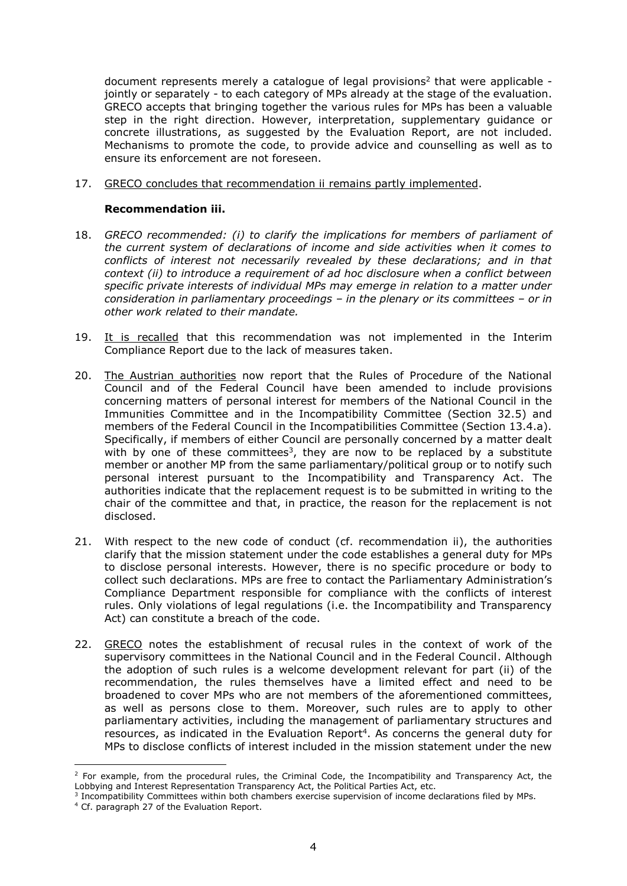document represents merely a catalogue of legal provisions<sup>2</sup> that were applicable jointly or separately - to each category of MPs already at the stage of the evaluation. GRECO accepts that bringing together the various rules for MPs has been a valuable step in the right direction. However, interpretation, supplementary guidance or concrete illustrations, as suggested by the Evaluation Report, are not included. Mechanisms to promote the code, to provide advice and counselling as well as to ensure its enforcement are not foreseen.

17. GRECO concludes that recommendation ii remains partly implemented.

#### **Recommendation iii.**

- 18. *GRECO recommended: (i) to clarify the implications for members of parliament of the current system of declarations of income and side activities when it comes to conflicts of interest not necessarily revealed by these declarations; and in that context (ii) to introduce a requirement of ad hoc disclosure when a conflict between specific private interests of individual MPs may emerge in relation to a matter under consideration in parliamentary proceedings – in the plenary or its committees – or in other work related to their mandate.*
- 19. It is recalled that this recommendation was not implemented in the Interim Compliance Report due to the lack of measures taken.
- 20. The Austrian authorities now report that the Rules of Procedure of the National Council and of the Federal Council have been amended to include provisions concerning matters of personal interest for members of the National Council in the Immunities Committee and in the Incompatibility Committee (Section 32.5) and members of the Federal Council in the Incompatibilities Committee (Section 13.4.a). Specifically, if members of either Council are personally concerned by a matter dealt with by one of these committees<sup>3</sup>, they are now to be replaced by a substitute member or another MP from the same parliamentary/political group or to notify such personal interest pursuant to the Incompatibility and Transparency Act. The authorities indicate that the replacement request is to be submitted in writing to the chair of the committee and that, in practice, the reason for the replacement is not disclosed.
- 21. With respect to the new code of conduct (cf. recommendation ii), the authorities clarify that the mission statement under the code establishes a general duty for MPs to disclose personal interests. However, there is no specific procedure or body to collect such declarations. MPs are free to contact the Parliamentary Administration's Compliance Department responsible for compliance with the conflicts of interest rules. Only violations of legal regulations (i.e. the Incompatibility and Transparency Act) can constitute a breach of the code.
- 22. GRECO notes the establishment of recusal rules in the context of work of the supervisory committees in the National Council and in the Federal Council. Although the adoption of such rules is a welcome development relevant for part (ii) of the recommendation, the rules themselves have a limited effect and need to be broadened to cover MPs who are not members of the aforementioned committees, as well as persons close to them. Moreover, such rules are to apply to other parliamentary activities, including the management of parliamentary structures and resources, as indicated in the Evaluation Report<sup>4</sup>. As concerns the general duty for MPs to disclose conflicts of interest included in the mission statement under the new

 $2$  For example, from the procedural rules, the Criminal Code, the Incompatibility and Transparency Act, the Lobbying and Interest Representation Transparency Act, the Political Parties Act, etc.<br><sup>3</sup> Incompatibility Committees within both chambers exercise supervision of income declarations filed by MPs.

<sup>4</sup> Cf. paragraph 27 of the Evaluation Report.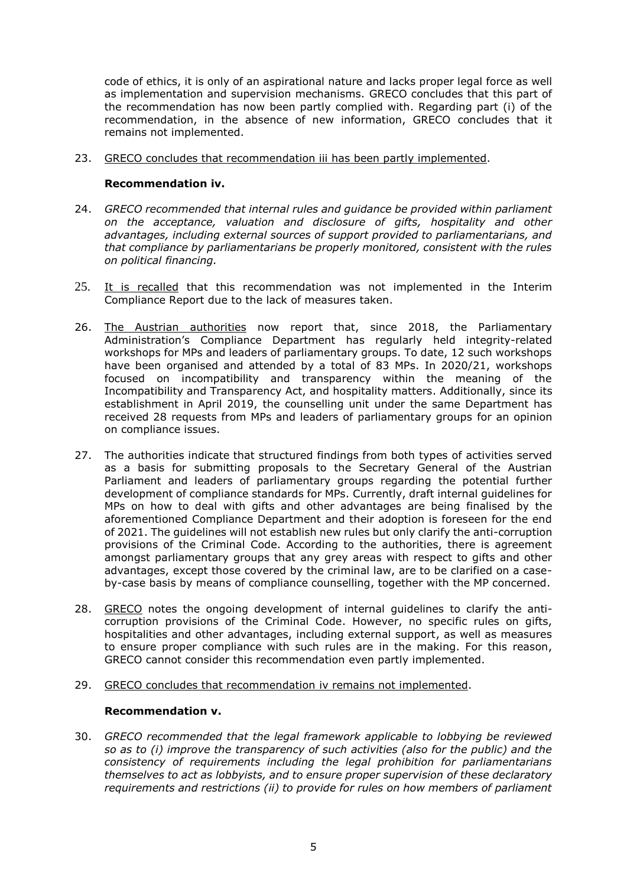code of ethics, it is only of an aspirational nature and lacks proper legal force as well as implementation and supervision mechanisms. GRECO concludes that this part of the recommendation has now been partly complied with. Regarding part (i) of the recommendation, in the absence of new information, GRECO concludes that it remains not implemented.

23. GRECO concludes that recommendation iii has been partly implemented.

#### **Recommendation iv.**

- 24. *GRECO recommended that internal rules and guidance be provided within parliament on the acceptance, valuation and disclosure of gifts, hospitality and other advantages, including external sources of support provided to parliamentarians, and that compliance by parliamentarians be properly monitored, consistent with the rules on political financing.*
- 25. It is recalled that this recommendation was not implemented in the Interim Compliance Report due to the lack of measures taken.
- 26. The Austrian authorities now report that, since 2018, the Parliamentary Administration's Compliance Department has regularly held integrity-related workshops for MPs and leaders of parliamentary groups. To date, 12 such workshops have been organised and attended by a total of 83 MPs. In 2020/21, workshops focused on incompatibility and transparency within the meaning of the Incompatibility and Transparency Act, and hospitality matters. Additionally, since its establishment in April 2019, the counselling unit under the same Department has received 28 requests from MPs and leaders of parliamentary groups for an opinion on compliance issues.
- 27. The authorities indicate that structured findings from both types of activities served as a basis for submitting proposals to the Secretary General of the Austrian Parliament and leaders of parliamentary groups regarding the potential further development of compliance standards for MPs. Currently, draft internal guidelines for MPs on how to deal with gifts and other advantages are being finalised by the aforementioned Compliance Department and their adoption is foreseen for the end of 2021. The guidelines will not establish new rules but only clarify the anti-corruption provisions of the Criminal Code. According to the authorities, there is agreement amongst parliamentary groups that any grey areas with respect to gifts and other advantages, except those covered by the criminal law, are to be clarified on a caseby-case basis by means of compliance counselling, together with the MP concerned.
- 28. GRECO notes the ongoing development of internal guidelines to clarify the anticorruption provisions of the Criminal Code. However, no specific rules on gifts, hospitalities and other advantages, including external support, as well as measures to ensure proper compliance with such rules are in the making. For this reason, GRECO cannot consider this recommendation even partly implemented.
- 29. GRECO concludes that recommendation iv remains not implemented.

#### **Recommendation v.**

30. *GRECO recommended that the legal framework applicable to lobbying be reviewed so as to (i) improve the transparency of such activities (also for the public) and the consistency of requirements including the legal prohibition for parliamentarians themselves to act as lobbyists, and to ensure proper supervision of these declaratory requirements and restrictions (ii) to provide for rules on how members of parliament*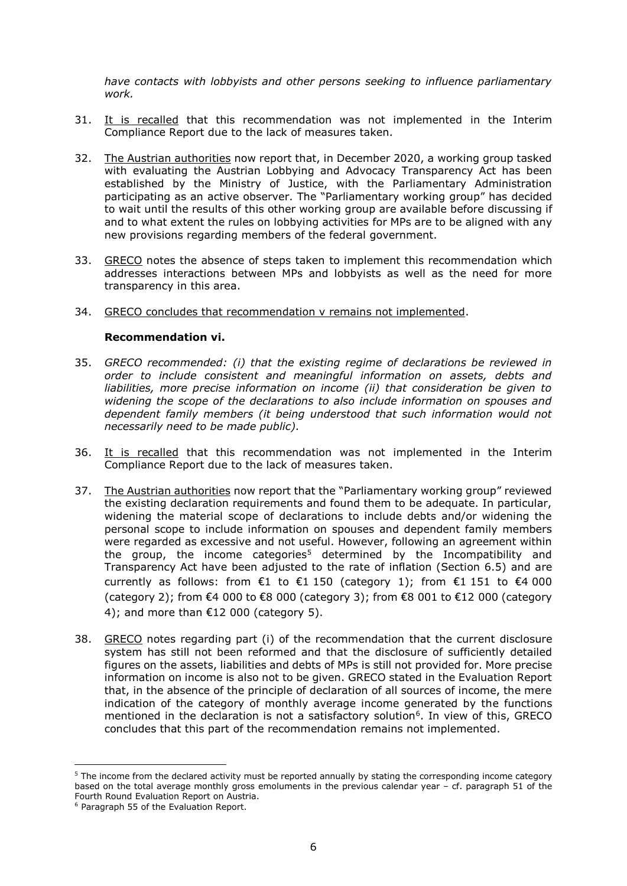*have contacts with lobbyists and other persons seeking to influence parliamentary work.* 

- 31. It is recalled that this recommendation was not implemented in the Interim Compliance Report due to the lack of measures taken.
- 32. The Austrian authorities now report that, in December 2020, a working group tasked with evaluating the Austrian Lobbying and Advocacy Transparency Act has been established by the Ministry of Justice, with the Parliamentary Administration participating as an active observer. The "Parliamentary working group" has decided to wait until the results of this other working group are available before discussing if and to what extent the rules on lobbying activities for MPs are to be aligned with any new provisions regarding members of the federal government.
- 33. GRECO notes the absence of steps taken to implement this recommendation which addresses interactions between MPs and lobbyists as well as the need for more transparency in this area.
- 34. GRECO concludes that recommendation v remains not implemented.

#### **Recommendation vi.**

- 35. *GRECO recommended: (i) that the existing regime of declarations be reviewed in order to include consistent and meaningful information on assets, debts and liabilities, more precise information on income (ii) that consideration be given to widening the scope of the declarations to also include information on spouses and dependent family members (it being understood that such information would not necessarily need to be made public).*
- 36. It is recalled that this recommendation was not implemented in the Interim Compliance Report due to the lack of measures taken.
- 37. The Austrian authorities now report that the "Parliamentary working group" reviewed the existing declaration requirements and found them to be adequate. In particular, widening the material scope of declarations to include debts and/or widening the personal scope to include information on spouses and dependent family members were regarded as excessive and not useful. However, following an agreement within the group, the income categories<sup>5</sup> determined by the Incompatibility and Transparency Act have been adjusted to the rate of inflation (Section 6.5) and are currently as follows: from  $\epsilon$ 1 to  $\epsilon$ 1 150 (category 1); from  $\epsilon$ 1 151 to  $\epsilon$ 4 000 (category 2); from €4 000 to €8 000 (category 3); from €8 001 to €12 000 (category 4); and more than  $£12 000$  (category 5).
- 38. GRECO notes regarding part (i) of the recommendation that the current disclosure system has still not been reformed and that the disclosure of sufficiently detailed figures on the assets, liabilities and debts of MPs is still not provided for. More precise information on income is also not to be given. GRECO stated in the Evaluation Report that, in the absence of the principle of declaration of all sources of income, the mere indication of the category of monthly average income generated by the functions mentioned in the declaration is not a satisfactory solution<sup>6</sup>. In view of this, GRECO concludes that this part of the recommendation remains not implemented.

<sup>&</sup>lt;sup>5</sup> The income from the declared activity must be reported annually by stating the corresponding income category based on the total average monthly gross emoluments in the previous calendar year – cf. paragraph 51 of the Fourth Round Evaluation Report on Austria.

<sup>6</sup> Paragraph 55 of the Evaluation Report.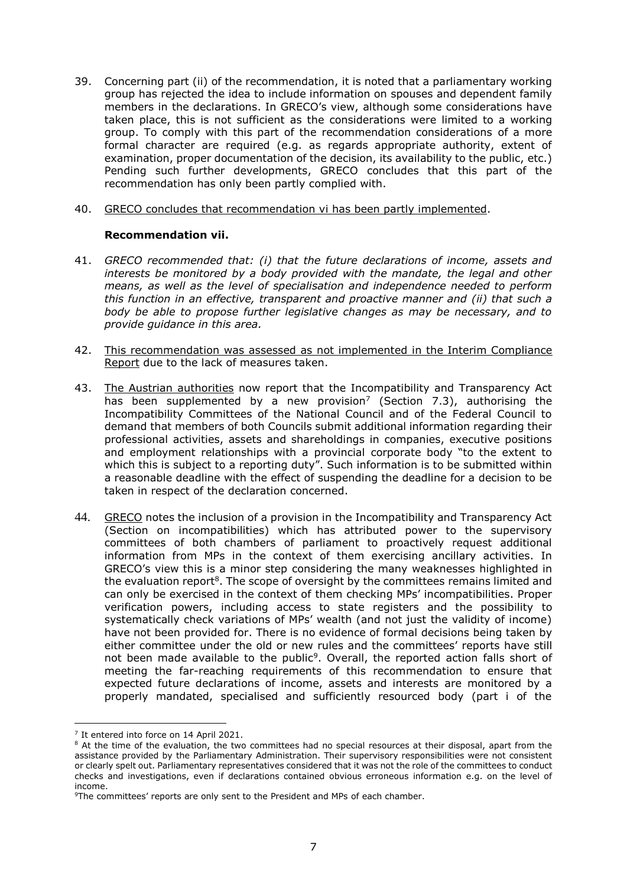- 39. Concerning part (ii) of the recommendation, it is noted that a parliamentary working group has rejected the idea to include information on spouses and dependent family members in the declarations. In GRECO's view, although some considerations have taken place, this is not sufficient as the considerations were limited to a working group. To comply with this part of the recommendation considerations of a more formal character are required (e.g. as regards appropriate authority, extent of examination, proper documentation of the decision, its availability to the public, etc.) Pending such further developments, GRECO concludes that this part of the recommendation has only been partly complied with.
- 40. GRECO concludes that recommendation vi has been partly implemented.

#### **Recommendation vii.**

- 41. *GRECO recommended that: (i) that the future declarations of income, assets and*  interests be monitored by a body provided with the mandate, the legal and other *means, as well as the level of specialisation and independence needed to perform this function in an effective, transparent and proactive manner and (ii) that such a body be able to propose further legislative changes as may be necessary, and to provide guidance in this area.*
- 42. This recommendation was assessed as not implemented in the Interim Compliance Report due to the lack of measures taken.
- 43. The Austrian authorities now report that the Incompatibility and Transparency Act has been supplemented by a new provision<sup>7</sup> (Section 7.3), authorising the Incompatibility Committees of the National Council and of the Federal Council to demand that members of both Councils submit additional information regarding their professional activities, assets and shareholdings in companies, executive positions and employment relationships with a provincial corporate body "to the extent to which this is subject to a reporting duty". Such information is to be submitted within a reasonable deadline with the effect of suspending the deadline for a decision to be taken in respect of the declaration concerned.
- 44. GRECO notes the inclusion of a provision in the Incompatibility and Transparency Act (Section on incompatibilities) which has attributed power to the supervisory committees of both chambers of parliament to proactively request additional information from MPs in the context of them exercising ancillary activities. In GRECO's view this is a minor step considering the many weaknesses highlighted in the evaluation report<sup>8</sup>. The scope of oversight by the committees remains limited and can only be exercised in the context of them checking MPs' incompatibilities. Proper verification powers, including access to state registers and the possibility to systematically check variations of MPs' wealth (and not just the validity of income) have not been provided for. There is no evidence of formal decisions being taken by either committee under the old or new rules and the committees' reports have still not been made available to the public<sup>9</sup>. Overall, the reported action falls short of meeting the far-reaching requirements of this recommendation to ensure that expected future declarations of income, assets and interests are monitored by a properly mandated, specialised and sufficiently resourced body (part i of the

<sup>&</sup>lt;sup>7</sup> It entered into force on 14 April 2021.

<sup>&</sup>lt;sup>8</sup> At the time of the evaluation, the two committees had no special resources at their disposal, apart from the assistance provided by the Parliamentary Administration. Their supervisory responsibilities were not consistent or clearly spelt out. Parliamentary representatives considered that it was not the role of the committees to conduct checks and investigations, even if declarations contained obvious erroneous information e.g. on the level of income.

<sup>9</sup>The committees' reports are only sent to the President and MPs of each chamber.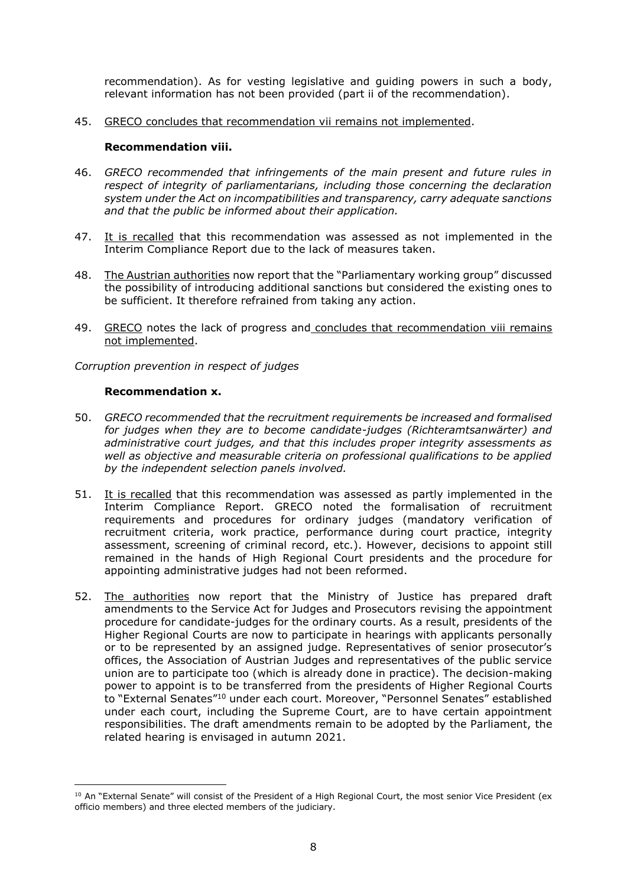recommendation). As for vesting legislative and guiding powers in such a body, relevant information has not been provided (part ii of the recommendation).

45. GRECO concludes that recommendation vii remains not implemented.

#### **Recommendation viii.**

- 46. *GRECO recommended that infringements of the main present and future rules in respect of integrity of parliamentarians, including those concerning the declaration system under the Act on incompatibilities and transparency, carry adequate sanctions and that the public be informed about their application.*
- 47. It is recalled that this recommendation was assessed as not implemented in the Interim Compliance Report due to the lack of measures taken.
- 48. The Austrian authorities now report that the "Parliamentary working group" discussed the possibility of introducing additional sanctions but considered the existing ones to be sufficient. It therefore refrained from taking any action.
- 49. GRECO notes the lack of progress and concludes that recommendation viii remains not implemented.

*Corruption prevention in respect of judges*

#### **Recommendation x.**

- 50. *GRECO recommended that the recruitment requirements be increased and formalised for judges when they are to become candidate-judges (Richteramtsanwärter) and administrative court judges, and that this includes proper integrity assessments as well as objective and measurable criteria on professional qualifications to be applied by the independent selection panels involved.*
- 51. It is recalled that this recommendation was assessed as partly implemented in the Interim Compliance Report. GRECO noted the formalisation of recruitment requirements and procedures for ordinary judges (mandatory verification of recruitment criteria, work practice, performance during court practice, integrity assessment, screening of criminal record, etc.). However, decisions to appoint still remained in the hands of High Regional Court presidents and the procedure for appointing administrative judges had not been reformed.
- 52. The authorities now report that the Ministry of Justice has prepared draft amendments to the Service Act for Judges and Prosecutors revising the appointment procedure for candidate-judges for the ordinary courts. As a result, presidents of the Higher Regional Courts are now to participate in hearings with applicants personally or to be represented by an assigned judge. Representatives of senior prosecutor's offices, the Association of Austrian Judges and representatives of the public service union are to participate too (which is already done in practice). The decision-making power to appoint is to be transferred from the presidents of Higher Regional Courts to "External Senates"<sup>10</sup> under each court. Moreover, "Personnel Senates" established under each court, including the Supreme Court, are to have certain appointment responsibilities. The draft amendments remain to be adopted by the Parliament, the related hearing is envisaged in autumn 2021.

<sup>&</sup>lt;sup>10</sup> An "External Senate" will consist of the President of a High Regional Court, the most senior Vice President (ex officio members) and three elected members of the judiciary.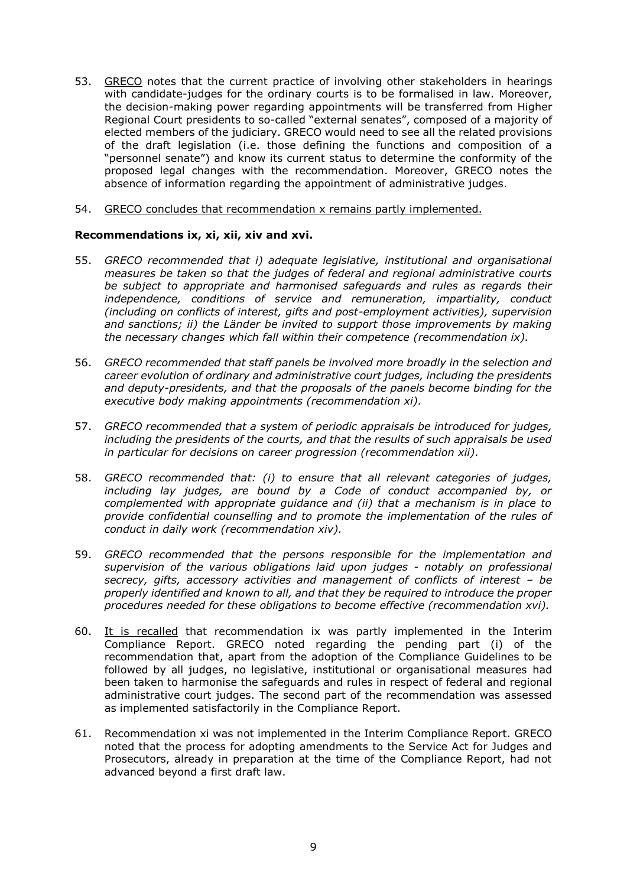- 53. GRECO notes that the current practice of involving other stakeholders in hearings with candidate-judges for the ordinary courts is to be formalised in law. Moreover, the decision-making power regarding appointments will be transferred from Higher Regional Court presidents to so-called "external senates", composed of a majority of elected members of the judiciary. GRECO would need to see all the related provisions of the draft legislation (i.e. those defining the functions and composition of a "personnel senate") and know its current status to determine the conformity of the proposed legal changes with the recommendation. Moreover, GRECO notes the absence of information regarding the appointment of administrative judges.
- 54. GRECO concludes that recommendation x remains partly implemented.

#### **Recommendations ix, xi, xii, xiv and xvi.**

- 55. *GRECO recommended that i) adequate legislative, institutional and organisational measures be taken so that the judges of federal and regional administrative courts be subject to appropriate and harmonised safeguards and rules as regards their independence, conditions of service and remuneration, impartiality, conduct (including on conflicts of interest, gifts and post-employment activities), supervision and sanctions; ii) the Länder be invited to support those improvements by making the necessary changes which fall within their competence (recommendation ix).*
- 56. *GRECO recommended that staff panels be involved more broadly in the selection and career evolution of ordinary and administrative court judges, including the presidents and deputy-presidents, and that the proposals of the panels become binding for the executive body making appointments (recommendation xi).*
- 57. *GRECO recommended that a system of periodic appraisals be introduced for judges, including the presidents of the courts, and that the results of such appraisals be used in particular for decisions on career progression (recommendation xii).*
- 58. *GRECO recommended that: (i) to ensure that all relevant categories of judges, including lay judges, are bound by a Code of conduct accompanied by, or complemented with appropriate guidance and (ii) that a mechanism is in place to provide confidential counselling and to promote the implementation of the rules of conduct in daily work (recommendation xiv).*
- 59. *GRECO recommended that the persons responsible for the implementation and supervision of the various obligations laid upon judges - notably on professional secrecy, gifts, accessory activities and management of conflicts of interest – be properly identified and known to all, and that they be required to introduce the proper procedures needed for these obligations to become effective (recommendation xvi).*
- 60. It is recalled that recommendation ix was partly implemented in the Interim Compliance Report. GRECO noted regarding the pending part (i) of the recommendation that, apart from the adoption of the Compliance Guidelines to be followed by all judges, no legislative, institutional or organisational measures had been taken to harmonise the safeguards and rules in respect of federal and regional administrative court judges. The second part of the recommendation was assessed as implemented satisfactorily in the Compliance Report.
- 61. Recommendation xi was not implemented in the Interim Compliance Report. GRECO noted that the process for adopting amendments to the Service Act for Judges and Prosecutors, already in preparation at the time of the Compliance Report, had not advanced beyond a first draft law.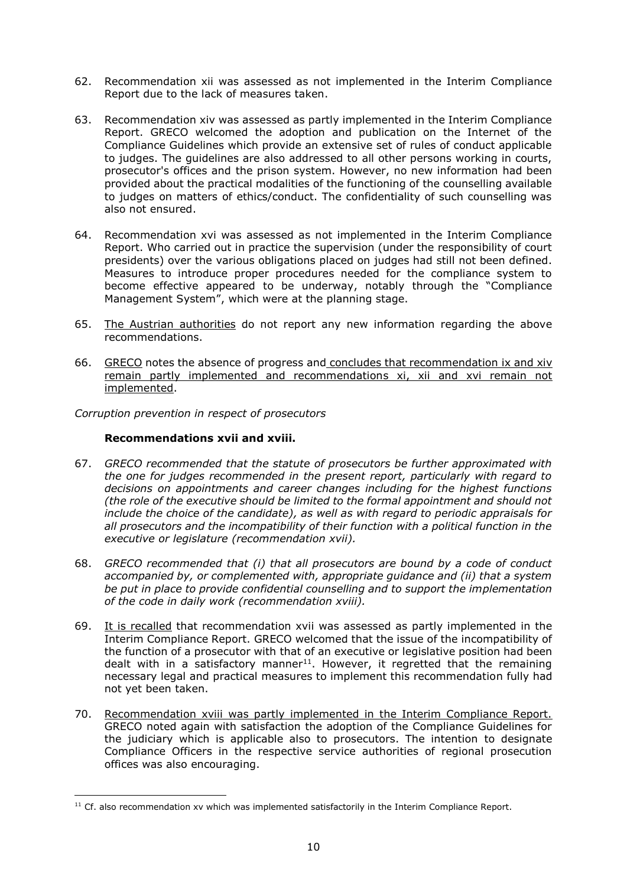- 62. Recommendation xii was assessed as not implemented in the Interim Compliance Report due to the lack of measures taken.
- 63. Recommendation xiv was assessed as partly implemented in the Interim Compliance Report. GRECO welcomed the adoption and publication on the Internet of the Compliance Guidelines which provide an extensive set of rules of conduct applicable to judges. The guidelines are also addressed to all other persons working in courts, prosecutor's offices and the prison system. However, no new information had been provided about the practical modalities of the functioning of the counselling available to judges on matters of ethics/conduct. The confidentiality of such counselling was also not ensured.
- 64. Recommendation xvi was assessed as not implemented in the Interim Compliance Report. Who carried out in practice the supervision (under the responsibility of court presidents) over the various obligations placed on judges had still not been defined. Measures to introduce proper procedures needed for the compliance system to become effective appeared to be underway, notably through the "Compliance Management System", which were at the planning stage.
- 65. The Austrian authorities do not report any new information regarding the above recommendations.
- 66. GRECO notes the absence of progress and concludes that recommendation ix and xiv remain partly implemented and recommendations xi, xii and xvi remain not implemented.

*Corruption prevention in respect of prosecutors*

#### **Recommendations xvii and xviii.**

- 67. *GRECO recommended that the statute of prosecutors be further approximated with the one for judges recommended in the present report, particularly with regard to decisions on appointments and career changes including for the highest functions (the role of the executive should be limited to the formal appointment and should not include the choice of the candidate), as well as with regard to periodic appraisals for all prosecutors and the incompatibility of their function with a political function in the executive or legislature (recommendation xvii).*
- 68. *GRECO recommended that (i) that all prosecutors are bound by a code of conduct accompanied by, or complemented with, appropriate guidance and (ii) that a system be put in place to provide confidential counselling and to support the implementation of the code in daily work (recommendation xviii).*
- 69. It is recalled that recommendation xvii was assessed as partly implemented in the Interim Compliance Report. GRECO welcomed that the issue of the incompatibility of the function of a prosecutor with that of an executive or legislative position had been dealt with in a satisfactory manner<sup>11</sup>. However, it regretted that the remaining necessary legal and practical measures to implement this recommendation fully had not yet been taken.
- 70. Recommendation xviii was partly implemented in the Interim Compliance Report. GRECO noted again with satisfaction the adoption of the Compliance Guidelines for the judiciary which is applicable also to prosecutors. The intention to designate Compliance Officers in the respective service authorities of regional prosecution offices was also encouraging.

 $11$  Cf. also recommendation xv which was implemented satisfactorily in the Interim Compliance Report.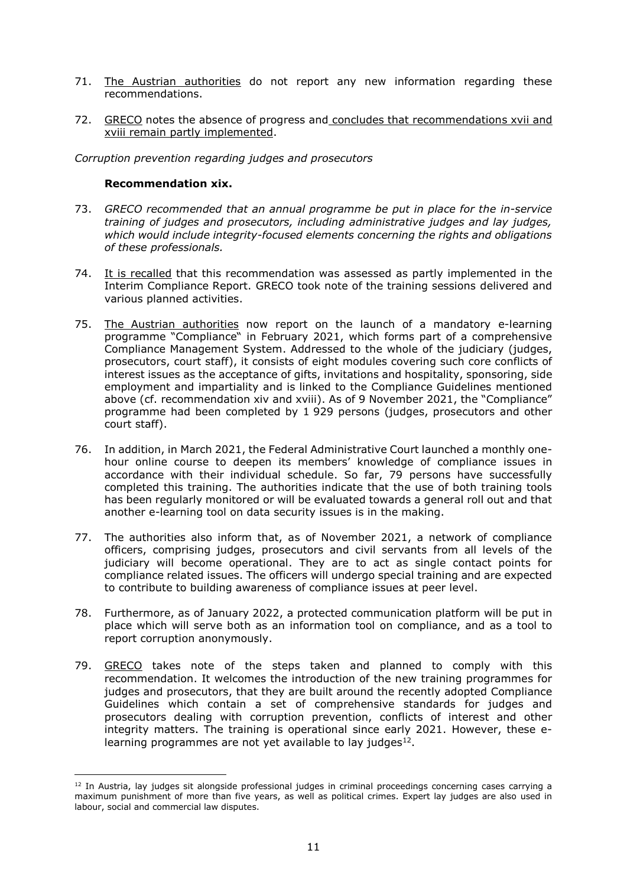- 71. The Austrian authorities do not report any new information regarding these recommendations.
- 72. GRECO notes the absence of progress and concludes that recommendations xvii and xviii remain partly implemented.

*Corruption prevention regarding judges and prosecutors*

#### **Recommendation xix.**

- 73. *GRECO recommended that an annual programme be put in place for the in-service training of judges and prosecutors, including administrative judges and lay judges, which would include integrity-focused elements concerning the rights and obligations of these professionals.*
- 74. It is recalled that this recommendation was assessed as partly implemented in the Interim Compliance Report. GRECO took note of the training sessions delivered and various planned activities.
- 75. The Austrian authorities now report on the launch of a mandatory e-learning programme "Compliance" in February 2021, which forms part of a comprehensive Compliance Management System. Addressed to the whole of the judiciary (judges, prosecutors, court staff), it consists of eight modules covering such core conflicts of interest issues as the acceptance of gifts, invitations and hospitality, sponsoring, side employment and impartiality and is linked to the Compliance Guidelines mentioned above (cf. recommendation xiv and xviii). As of 9 November 2021, the "Compliance" programme had been completed by 1 929 persons (judges, prosecutors and other court staff).
- 76. In addition, in March 2021, the Federal Administrative Court launched a monthly onehour online course to deepen its members' knowledge of compliance issues in accordance with their individual schedule. So far, 79 persons have successfully completed this training. The authorities indicate that the use of both training tools has been regularly monitored or will be evaluated towards a general roll out and that another e-learning tool on data security issues is in the making.
- 77. The authorities also inform that, as of November 2021, a network of compliance officers, comprising judges, prosecutors and civil servants from all levels of the judiciary will become operational. They are to act as single contact points for compliance related issues. The officers will undergo special training and are expected to contribute to building awareness of compliance issues at peer level.
- 78. Furthermore, as of January 2022, a protected communication platform will be put in place which will serve both as an information tool on compliance, and as a tool to report corruption anonymously.
- 79. GRECO takes note of the steps taken and planned to comply with this recommendation. It welcomes the introduction of the new training programmes for judges and prosecutors, that they are built around the recently adopted Compliance Guidelines which contain a set of comprehensive standards for judges and prosecutors dealing with corruption prevention, conflicts of interest and other integrity matters. The training is operational since early 2021. However, these elearning programmes are not yet available to lay judges $^{12}$ .

<sup>&</sup>lt;sup>12</sup> In Austria, lay judges sit alongside professional judges in criminal proceedings concerning cases carrying a maximum punishment of more than five years, as well as political crimes. Expert lay judges are also used in labour, social and commercial law disputes.